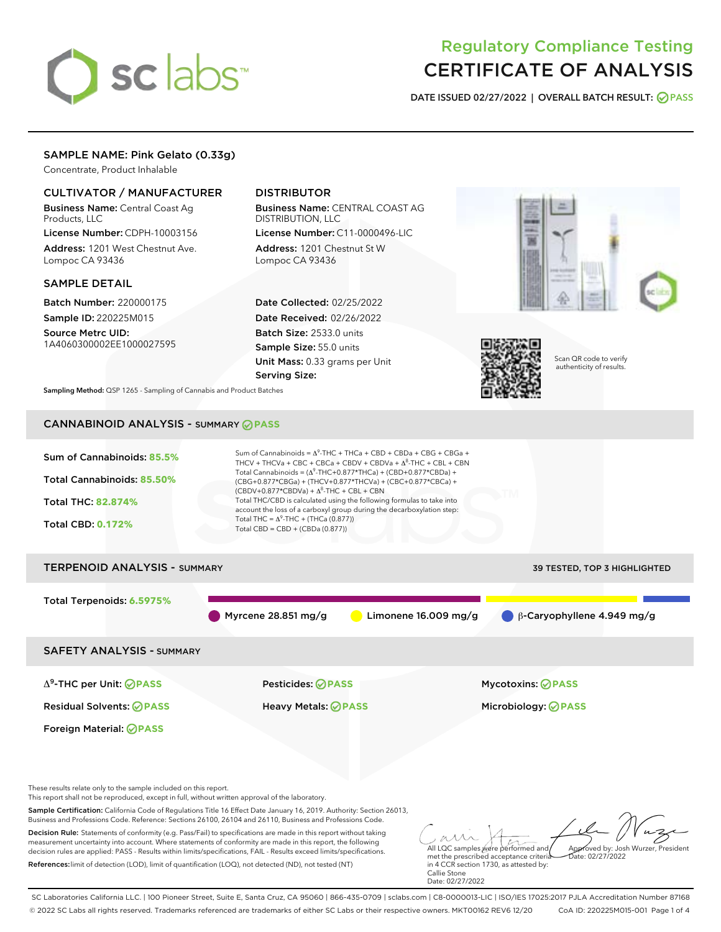# sclabs<sup>\*</sup>

# Regulatory Compliance Testing CERTIFICATE OF ANALYSIS

DATE ISSUED 02/27/2022 | OVERALL BATCH RESULT: @ PASS

# SAMPLE NAME: Pink Gelato (0.33g)

Concentrate, Product Inhalable

# CULTIVATOR / MANUFACTURER

Business Name: Central Coast Ag Products, LLC

License Number: CDPH-10003156 Address: 1201 West Chestnut Ave. Lompoc CA 93436

#### SAMPLE DETAIL

Batch Number: 220000175 Sample ID: 220225M015

Source Metrc UID: 1A4060300002EE1000027595

# DISTRIBUTOR

Business Name: CENTRAL COAST AG DISTRIBUTION, LLC

License Number: C11-0000496-LIC Address: 1201 Chestnut St W Lompoc CA 93436

Date Collected: 02/25/2022 Date Received: 02/26/2022 Batch Size: 2533.0 units Sample Size: 55.0 units Unit Mass: 0.33 grams per Unit Serving Size:





Scan QR code to verify authenticity of results.

Sampling Method: QSP 1265 - Sampling of Cannabis and Product Batches

# CANNABINOID ANALYSIS - SUMMARY **PASS**



SC Laboratories California LLC. | 100 Pioneer Street, Suite E, Santa Cruz, CA 95060 | 866-435-0709 | sclabs.com | C8-0000013-LIC | ISO/IES 17025:2017 PJLA Accreditation Number 87168 © 2022 SC Labs all rights reserved. Trademarks referenced are trademarks of either SC Labs or their respective owners. MKT00162 REV6 12/20 CoA ID: 220225M015-001 Page 1 of 4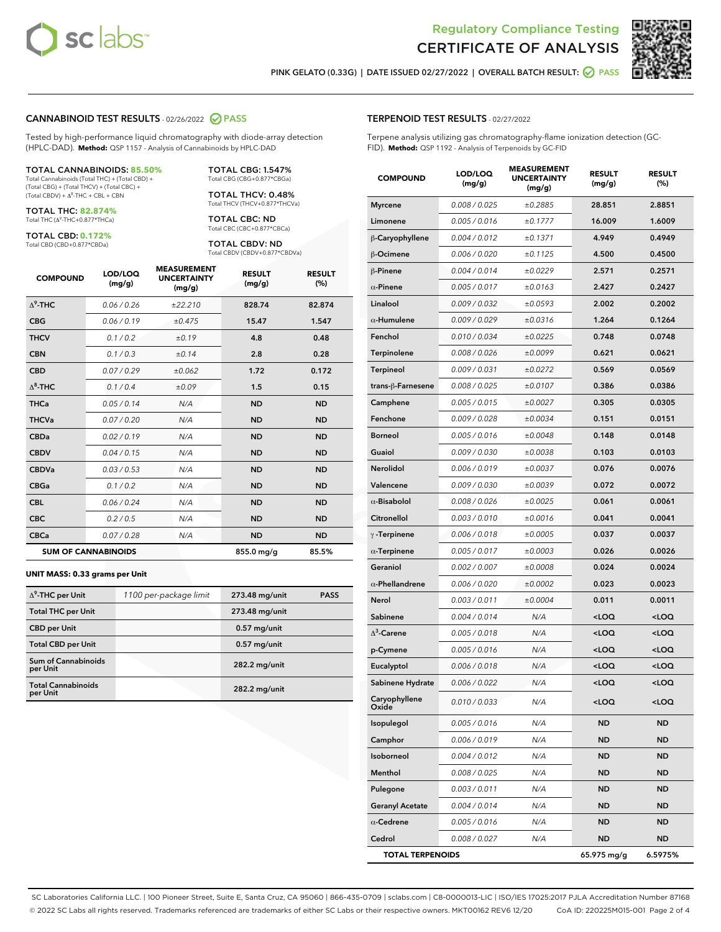



PINK GELATO (0.33G) | DATE ISSUED 02/27/2022 | OVERALL BATCH RESULT:  $\bigcirc$  PASS

# CANNABINOID TEST RESULTS - 02/26/2022 PASS

Tested by high-performance liquid chromatography with diode-array detection (HPLC-DAD). **Method:** QSP 1157 - Analysis of Cannabinoids by HPLC-DAD

#### TOTAL CANNABINOIDS: **85.50%**

Total Cannabinoids (Total THC) + (Total CBD) + (Total CBG) + (Total THCV) + (Total CBC) +  $(Total$  CBDV) +  $\Delta$ <sup>8</sup>-THC + CBL + CBN

TOTAL THC: **82.874%** Total THC (Δ<sup>9</sup> -THC+0.877\*THCa)

TOTAL CBD: **0.172%** Total CBD (CBD+0.877\*CBDa)

TOTAL CBG: 1.547% Total CBG (CBG+0.877\*CBGa)

TOTAL THCV: 0.48% Total THCV (THCV+0.877\*THCVa)

TOTAL CBC: ND Total CBC (CBC+0.877\*CBCa)

TOTAL CBDV: ND Total CBDV (CBDV+0.877\*CBDVa)

| <b>COMPOUND</b>  | LOD/LOQ<br>(mg/g)          | <b>MEASUREMENT</b><br><b>UNCERTAINTY</b><br>(mg/g) | <b>RESULT</b><br>(mg/g) | <b>RESULT</b><br>(%) |
|------------------|----------------------------|----------------------------------------------------|-------------------------|----------------------|
| $\Lambda^9$ -THC | 0.06/0.26                  | ±22.210                                            | 828.74                  | 82.874               |
| <b>CBG</b>       | 0.06/0.19                  | ±0.475                                             | 15.47                   | 1.547                |
| <b>THCV</b>      | 0.1/0.2                    | ±0.19                                              | 4.8                     | 0.48                 |
| <b>CBN</b>       | 0.1/0.3                    | ±0.14                                              | 2.8                     | 0.28                 |
| <b>CBD</b>       | 0.07/0.29                  | ±0.062                                             | 1.72                    | 0.172                |
| $\Delta^8$ -THC  | 0.1 / 0.4                  | ±0.09                                              | 1.5                     | 0.15                 |
| <b>THCa</b>      | 0.05/0.14                  | N/A                                                | <b>ND</b>               | <b>ND</b>            |
| <b>THCVa</b>     | 0.07 / 0.20                | N/A                                                | <b>ND</b>               | <b>ND</b>            |
| <b>CBDa</b>      | 0.02/0.19                  | N/A                                                | <b>ND</b>               | <b>ND</b>            |
| <b>CBDV</b>      | 0.04 / 0.15                | N/A                                                | <b>ND</b>               | <b>ND</b>            |
| <b>CBDVa</b>     | 0.03/0.53                  | N/A                                                | <b>ND</b>               | <b>ND</b>            |
| <b>CBGa</b>      | 0.1 / 0.2                  | N/A                                                | <b>ND</b>               | <b>ND</b>            |
| <b>CBL</b>       | 0.06 / 0.24                | N/A                                                | <b>ND</b>               | <b>ND</b>            |
| <b>CBC</b>       | 0.2 / 0.5                  | N/A                                                | <b>ND</b>               | <b>ND</b>            |
| <b>CBCa</b>      | 0.07/0.28                  | N/A                                                | <b>ND</b>               | <b>ND</b>            |
|                  | <b>SUM OF CANNABINOIDS</b> |                                                    | 855.0 mg/g              | 85.5%                |

#### **UNIT MASS: 0.33 grams per Unit**

| $\Delta^9$ -THC per Unit               | 1100 per-package limit | 273.48 mg/unit | <b>PASS</b> |
|----------------------------------------|------------------------|----------------|-------------|
| <b>Total THC per Unit</b>              |                        | 273.48 mg/unit |             |
| <b>CBD per Unit</b>                    |                        | $0.57$ mg/unit |             |
| <b>Total CBD per Unit</b>              |                        | $0.57$ mg/unit |             |
| <b>Sum of Cannabinoids</b><br>per Unit |                        | 282.2 mg/unit  |             |
| <b>Total Cannabinoids</b><br>per Unit  |                        | 282.2 mg/unit  |             |

| <b>COMPOUND</b>         | LOD/LOQ<br>(mg/g) | いしいしい<br><b>UNCERTAINTY</b><br>(mg/g) | <b>RESULT</b><br>(mg/g)                          | <b>RESULT</b><br>(%) |
|-------------------------|-------------------|---------------------------------------|--------------------------------------------------|----------------------|
| <b>Myrcene</b>          | 0.008 / 0.025     | ±0.2885                               | 28.851                                           | 2.8851               |
| Limonene                | 0.005 / 0.016     | ±0.1777                               | 16.009                                           | 1.6009               |
| β-Caryophyllene         | 0.004 / 0.012     | ±0.1371                               | 4.949                                            | 0.4949               |
| <b>B-Ocimene</b>        | 0.006 / 0.020     | ±0.1125                               | 4.500                                            | 0.4500               |
| β-Pinene                | 0.004 / 0.014     | ±0.0229                               | 2.571                                            | 0.2571               |
| $\alpha$ -Pinene        | 0.005 / 0.017     | ±0.0163                               | 2.427                                            | 0.2427               |
| Linalool                | 0.009 / 0.032     | ±0.0593                               | 2.002                                            | 0.2002               |
| $\alpha$ -Humulene      | 0.009 / 0.029     | ±0.0316                               | 1.264                                            | 0.1264               |
| Fenchol                 | 0.010 / 0.034     | ±0.0225                               | 0.748                                            | 0.0748               |
| <b>Terpinolene</b>      | 0.008 / 0.026     | ±0.0099                               | 0.621                                            | 0.0621               |
| Terpineol               | 0.009 / 0.031     | ±0.0272                               | 0.569                                            | 0.0569               |
| trans-β-Farnesene       | 0.008 / 0.025     | ±0.0107                               | 0.386                                            | 0.0386               |
| Camphene                | 0.005 / 0.015     | ±0.0027                               | 0.305                                            | 0.0305               |
| Fenchone                | 0.009 / 0.028     | ±0.0034                               | 0.151                                            | 0.0151               |
| <b>Borneol</b>          | 0.005 / 0.016     | ±0.0048                               | 0.148                                            | 0.0148               |
| Guaiol                  | 0.009 / 0.030     | ±0.0038                               | 0.103                                            | 0.0103               |
| <b>Nerolidol</b>        | 0.006 / 0.019     | ±0.0037                               | 0.076                                            | 0.0076               |
| Valencene               | 0.009 / 0.030     | ±0.0039                               | 0.072                                            | 0.0072               |
| $\alpha$ -Bisabolol     | 0.008 / 0.026     | ±0.0025                               | 0.061                                            | 0.0061               |
| Citronellol             | 0.003 / 0.010     | ±0.0016                               | 0.041                                            | 0.0041               |
| $\gamma$ -Terpinene     | 0.006 / 0.018     | ±0.0005                               | 0.037                                            | 0.0037               |
| $\alpha$ -Terpinene     | 0.005 / 0.017     | ±0.0003                               | 0.026                                            | 0.0026               |
| Geraniol                | 0.002 / 0.007     | ±0.0008                               | 0.024                                            | 0.0024               |
| $\alpha$ -Phellandrene  | 0.006 / 0.020     | ±0.0002                               | 0.023                                            | 0.0023               |
| Nerol                   | 0.003 / 0.011     | ±0.0004                               | 0.011                                            | 0.0011               |
| Sabinene                | 0.004 / 0.014     | N/A                                   | $<$ LOQ                                          | <loq< th=""></loq<>  |
| $\Delta^3$ -Carene      | 0.005 / 0.018     | N/A                                   | <loq< th=""><th><loq< th=""></loq<></th></loq<>  | <loq< th=""></loq<>  |
| p-Cymene                | 0.005 / 0.016     | N/A                                   | <loq< th=""><th><math>&lt;</math>LOQ</th></loq<> | $<$ LOQ              |
| Eucalyptol              | 0.006 / 0.018     | N/A                                   | 100                                              | $<$ LOQ              |
| Sabinene Hydrate        | 0.006 / 0.022     | N/A                                   | $<$ LOQ                                          | <loq< th=""></loq<>  |
| Caryophyllene<br>Oxide  | 0.010 / 0.033     | N/A                                   | <loq< th=""><th><loq< th=""></loq<></th></loq<>  | <loq< th=""></loq<>  |
| Isopulegol              | 0.005 / 0.016     | N/A                                   | ND                                               | ND                   |
| Camphor                 | 0.006 / 0.019     | N/A                                   | ND                                               | ND                   |
| Isoborneol              | 0.004 / 0.012     | N/A                                   | ND                                               | ND                   |
| Menthol                 | 0.008 / 0.025     | N/A                                   | ND                                               | ND                   |
| Pulegone                | 0.003 / 0.011     | N/A                                   | ND                                               | ND                   |
| <b>Geranyl Acetate</b>  | 0.004 / 0.014     | N/A                                   | ND                                               | ND                   |
| $\alpha$ -Cedrene       | 0.005 / 0.016     | N/A                                   | ND                                               | ND                   |
| Cedrol                  | 0.008 / 0.027     | N/A                                   | ND                                               | ND                   |
| <b>TOTAL TERPENOIDS</b> |                   |                                       | 65.975 mg/g                                      | 6.5975%              |

SC Laboratories California LLC. | 100 Pioneer Street, Suite E, Santa Cruz, CA 95060 | 866-435-0709 | sclabs.com | C8-0000013-LIC | ISO/IES 17025:2017 PJLA Accreditation Number 87168 © 2022 SC Labs all rights reserved. Trademarks referenced are trademarks of either SC Labs or their respective owners. MKT00162 REV6 12/20 CoA ID: 220225M015-001 Page 2 of 4

# TERPENOID TEST RESULTS - 02/27/2022

Terpene analysis utilizing gas chromatography-flame ionization detection (GC-FID). **Method:** QSP 1192 - Analysis of Terpenoids by GC-FID

MEACUREMENT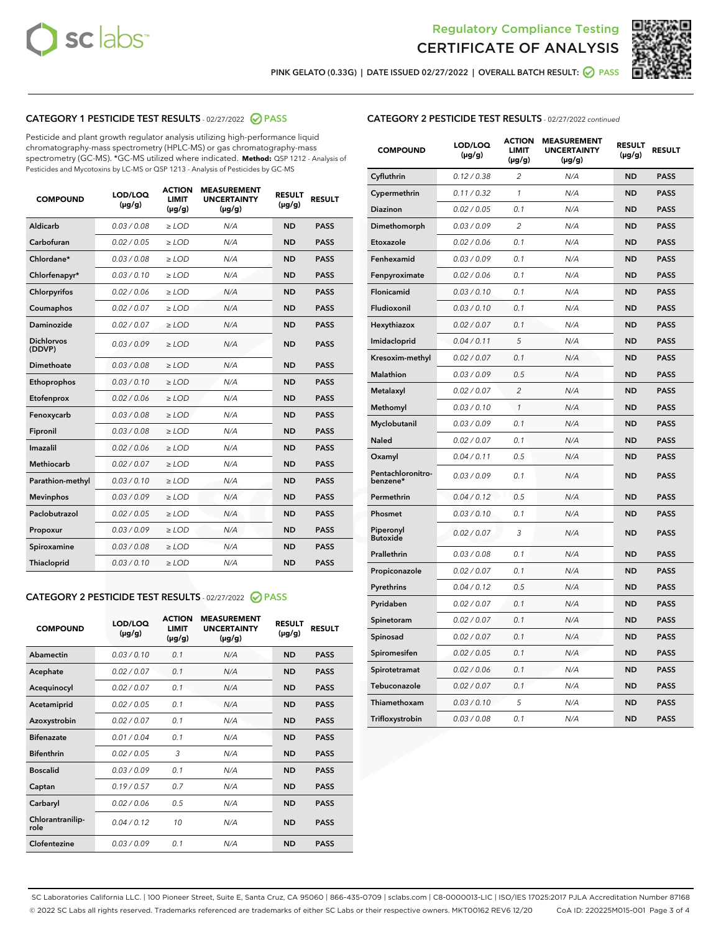



PINK GELATO (0.33G) | DATE ISSUED 02/27/2022 | OVERALL BATCH RESULT:  $\bigcirc$  PASS

# CATEGORY 1 PESTICIDE TEST RESULTS - 02/27/2022 2 PASS

Pesticide and plant growth regulator analysis utilizing high-performance liquid chromatography-mass spectrometry (HPLC-MS) or gas chromatography-mass spectrometry (GC-MS). \*GC-MS utilized where indicated. **Method:** QSP 1212 - Analysis of Pesticides and Mycotoxins by LC-MS or QSP 1213 - Analysis of Pesticides by GC-MS

| <b>COMPOUND</b>             | LOD/LOQ<br>$(\mu g/g)$ | <b>ACTION</b><br><b>LIMIT</b><br>$(\mu g/g)$ | <b>MEASUREMENT</b><br><b>UNCERTAINTY</b><br>$(\mu g/g)$ | <b>RESULT</b><br>$(\mu g/g)$ | <b>RESULT</b> |
|-----------------------------|------------------------|----------------------------------------------|---------------------------------------------------------|------------------------------|---------------|
| Aldicarb                    | 0.03 / 0.08            | $\ge$ LOD                                    | N/A                                                     | <b>ND</b>                    | <b>PASS</b>   |
| Carbofuran                  | 0.02 / 0.05            | $\ge$ LOD                                    | N/A                                                     | <b>ND</b>                    | <b>PASS</b>   |
| Chlordane*                  | 0.03 / 0.08            | $\ge$ LOD                                    | N/A                                                     | <b>ND</b>                    | <b>PASS</b>   |
| Chlorfenapyr*               | 0.03/0.10              | $\ge$ LOD                                    | N/A                                                     | <b>ND</b>                    | <b>PASS</b>   |
| Chlorpyrifos                | 0.02/0.06              | $\ge$ LOD                                    | N/A                                                     | <b>ND</b>                    | <b>PASS</b>   |
| Coumaphos                   | 0.02 / 0.07            | $\geq$ LOD                                   | N/A                                                     | <b>ND</b>                    | <b>PASS</b>   |
| Daminozide                  | 0.02 / 0.07            | $>$ LOD                                      | N/A                                                     | <b>ND</b>                    | <b>PASS</b>   |
| <b>Dichlorvos</b><br>(DDVP) | 0.03/0.09              | $\ge$ LOD                                    | N/A                                                     | <b>ND</b>                    | <b>PASS</b>   |
| Dimethoate                  | 0.03/0.08              | $>$ LOD                                      | N/A                                                     | <b>ND</b>                    | <b>PASS</b>   |
| Ethoprophos                 | 0.03/0.10              | $\ge$ LOD                                    | N/A                                                     | <b>ND</b>                    | <b>PASS</b>   |
| Etofenprox                  | 0.02 / 0.06            | $\geq$ LOD                                   | N/A                                                     | <b>ND</b>                    | <b>PASS</b>   |
| Fenoxycarb                  | 0.03/0.08              | $>$ LOD                                      | N/A                                                     | <b>ND</b>                    | <b>PASS</b>   |
| Fipronil                    | 0.03 / 0.08            | $\ge$ LOD                                    | N/A                                                     | <b>ND</b>                    | <b>PASS</b>   |
| Imazalil                    | 0.02 / 0.06            | $>$ LOD                                      | N/A                                                     | <b>ND</b>                    | <b>PASS</b>   |
| <b>Methiocarb</b>           | 0.02 / 0.07            | $\ge$ LOD                                    | N/A                                                     | <b>ND</b>                    | <b>PASS</b>   |
| Parathion-methyl            | 0.03/0.10              | $\geq$ LOD                                   | N/A                                                     | <b>ND</b>                    | <b>PASS</b>   |
| <b>Mevinphos</b>            | 0.03/0.09              | $\ge$ LOD                                    | N/A                                                     | <b>ND</b>                    | <b>PASS</b>   |
| Paclobutrazol               | 0.02 / 0.05            | $\ge$ LOD                                    | N/A                                                     | <b>ND</b>                    | <b>PASS</b>   |
| Propoxur                    | 0.03/0.09              | $\ge$ LOD                                    | N/A                                                     | <b>ND</b>                    | <b>PASS</b>   |
| Spiroxamine                 | 0.03 / 0.08            | $\ge$ LOD                                    | N/A                                                     | <b>ND</b>                    | <b>PASS</b>   |
| Thiacloprid                 | 0.03/0.10              | $>$ LOD                                      | N/A                                                     | <b>ND</b>                    | <b>PASS</b>   |

## CATEGORY 2 PESTICIDE TEST RESULTS - 02/27/2022 @ PASS

| <b>COMPOUND</b>          | LOD/LOO<br>$(\mu g/g)$ | <b>ACTION</b><br>LIMIT<br>$(\mu g/g)$ | <b>MEASUREMENT</b><br><b>UNCERTAINTY</b><br>$(\mu g/g)$ | <b>RESULT</b><br>$(\mu g/g)$ | <b>RESULT</b> |  |
|--------------------------|------------------------|---------------------------------------|---------------------------------------------------------|------------------------------|---------------|--|
| Abamectin                | 0.03/0.10              | 0.1                                   | N/A                                                     | <b>ND</b>                    | <b>PASS</b>   |  |
| Acephate                 | 0.02/0.07              | 0.1                                   | N/A                                                     | <b>ND</b>                    | <b>PASS</b>   |  |
| Acequinocyl              | 0.02 / 0.07            | 0.1                                   | N/A                                                     | <b>ND</b>                    | <b>PASS</b>   |  |
| Acetamiprid              | 0.02/0.05              | 0.1                                   | N/A                                                     | <b>ND</b>                    | <b>PASS</b>   |  |
| Azoxystrobin             | 0.02/0.07              | 0.1                                   | N/A                                                     | <b>ND</b>                    | <b>PASS</b>   |  |
| <b>Bifenazate</b>        | 0.01/0.04              | 0.1                                   | N/A                                                     | <b>ND</b>                    | <b>PASS</b>   |  |
| <b>Bifenthrin</b>        | 0.02 / 0.05            | 3                                     | N/A                                                     | <b>ND</b>                    | <b>PASS</b>   |  |
| <b>Boscalid</b>          | 0.03/0.09              | 0.1                                   | N/A                                                     | <b>ND</b>                    | <b>PASS</b>   |  |
| Captan                   | 0.19/0.57              | 0.7                                   | N/A                                                     | <b>ND</b>                    | <b>PASS</b>   |  |
| Carbaryl                 | 0.02/0.06              | 0.5                                   | N/A                                                     | <b>ND</b>                    | <b>PASS</b>   |  |
| Chlorantranilip-<br>role | 0.04/0.12              | 10                                    | N/A                                                     | <b>ND</b>                    | <b>PASS</b>   |  |
| Clofentezine             | 0.03/0.09              | 0.1                                   | N/A                                                     | <b>ND</b>                    | <b>PASS</b>   |  |

| <b>COMPOUND</b>               | LOD/LOQ<br>(µg/g) | <b>ACTION</b><br>LIMIT<br>$(\mu g/g)$ | <b>MEASUREMENT</b><br><b>UNCERTAINTY</b><br>$(\mu g/g)$ | <b>RESULT</b><br>(µg/g) | <b>RESULT</b> |
|-------------------------------|-------------------|---------------------------------------|---------------------------------------------------------|-------------------------|---------------|
| Cyfluthrin                    | 0.12 / 0.38       | $\overline{c}$                        | N/A                                                     | <b>ND</b>               | <b>PASS</b>   |
| Cypermethrin                  | 0.11 / 0.32       | 1                                     | N/A                                                     | <b>ND</b>               | <b>PASS</b>   |
| <b>Diazinon</b>               | 0.02 / 0.05       | 0.1                                   | N/A                                                     | <b>ND</b>               | <b>PASS</b>   |
| Dimethomorph                  | 0.03 / 0.09       | $\overline{2}$                        | N/A                                                     | <b>ND</b>               | <b>PASS</b>   |
| Etoxazole                     | 0.02 / 0.06       | 0.1                                   | N/A                                                     | <b>ND</b>               | <b>PASS</b>   |
| Fenhexamid                    | 0.03 / 0.09       | 0.1                                   | N/A                                                     | <b>ND</b>               | <b>PASS</b>   |
| Fenpyroximate                 | 0.02 / 0.06       | 0.1                                   | N/A                                                     | <b>ND</b>               | <b>PASS</b>   |
| <b>Flonicamid</b>             | 0.03 / 0.10       | 0.1                                   | N/A                                                     | <b>ND</b>               | <b>PASS</b>   |
| Fludioxonil                   | 0.03 / 0.10       | 0.1                                   | N/A                                                     | <b>ND</b>               | <b>PASS</b>   |
| Hexythiazox                   | 0.02 / 0.07       | 0.1                                   | N/A                                                     | <b>ND</b>               | <b>PASS</b>   |
| Imidacloprid                  | 0.04 / 0.11       | 5                                     | N/A                                                     | <b>ND</b>               | <b>PASS</b>   |
| Kresoxim-methyl               | 0.02 / 0.07       | 0.1                                   | N/A                                                     | <b>ND</b>               | <b>PASS</b>   |
| Malathion                     | 0.03 / 0.09       | 0.5                                   | N/A                                                     | <b>ND</b>               | <b>PASS</b>   |
| Metalaxyl                     | 0.02 / 0.07       | $\overline{c}$                        | N/A                                                     | <b>ND</b>               | <b>PASS</b>   |
| Methomyl                      | 0.03 / 0.10       | $\mathcal{I}$                         | N/A                                                     | <b>ND</b>               | <b>PASS</b>   |
| Myclobutanil                  | 0.03 / 0.09       | 0.1                                   | N/A                                                     | <b>ND</b>               | <b>PASS</b>   |
| Naled                         | 0.02 / 0.07       | 0.1                                   | N/A                                                     | <b>ND</b>               | <b>PASS</b>   |
| Oxamyl                        | 0.04 / 0.11       | 0.5                                   | N/A                                                     | <b>ND</b>               | <b>PASS</b>   |
| Pentachloronitro-<br>benzene* | 0.03 / 0.09       | 0.1                                   | N/A                                                     | <b>ND</b>               | <b>PASS</b>   |
| Permethrin                    | 0.04 / 0.12       | 0.5                                   | N/A                                                     | <b>ND</b>               | <b>PASS</b>   |
| Phosmet                       | 0.03 / 0.10       | 0.1                                   | N/A                                                     | <b>ND</b>               | <b>PASS</b>   |
| Piperonyl<br><b>Butoxide</b>  | 0.02 / 0.07       | 3                                     | N/A                                                     | <b>ND</b>               | <b>PASS</b>   |
| Prallethrin                   | 0.03 / 0.08       | 0.1                                   | N/A                                                     | <b>ND</b>               | <b>PASS</b>   |
| Propiconazole                 | 0.02 / 0.07       | 0.1                                   | N/A                                                     | <b>ND</b>               | <b>PASS</b>   |
| Pyrethrins                    | 0.04 / 0.12       | 0.5                                   | N/A                                                     | <b>ND</b>               | <b>PASS</b>   |
| Pyridaben                     | 0.02 / 0.07       | 0.1                                   | N/A                                                     | <b>ND</b>               | <b>PASS</b>   |
| Spinetoram                    | 0.02 / 0.07       | 0.1                                   | N/A                                                     | ND                      | PASS          |
| Spinosad                      | 0.02 / 0.07       | 0.1                                   | N/A                                                     | <b>ND</b>               | <b>PASS</b>   |
| Spiromesifen                  | 0.02 / 0.05       | 0.1                                   | N/A                                                     | <b>ND</b>               | <b>PASS</b>   |
| Spirotetramat                 | 0.02 / 0.06       | 0.1                                   | N/A                                                     | <b>ND</b>               | <b>PASS</b>   |
| Tebuconazole                  | 0.02 / 0.07       | 0.1                                   | N/A                                                     | <b>ND</b>               | <b>PASS</b>   |
| Thiamethoxam                  | 0.03 / 0.10       | 5                                     | N/A                                                     | ND                      | <b>PASS</b>   |
| Trifloxystrobin               | 0.03 / 0.08       | 0.1                                   | N/A                                                     | ND                      | <b>PASS</b>   |

SC Laboratories California LLC. | 100 Pioneer Street, Suite E, Santa Cruz, CA 95060 | 866-435-0709 | sclabs.com | C8-0000013-LIC | ISO/IES 17025:2017 PJLA Accreditation Number 87168 © 2022 SC Labs all rights reserved. Trademarks referenced are trademarks of either SC Labs or their respective owners. MKT00162 REV6 12/20 CoA ID: 220225M015-001 Page 3 of 4